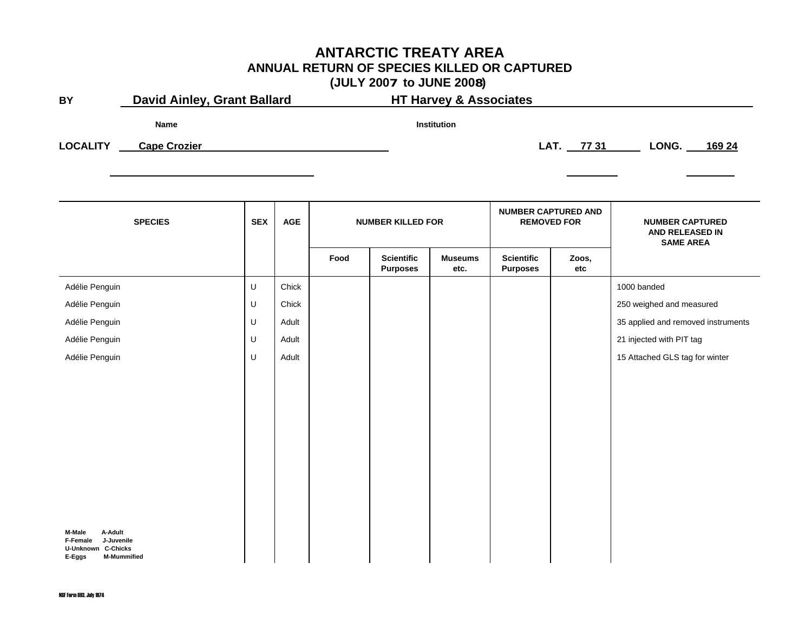#### **ANTARCTIC TREATY AREA ANNUAL RETURN OF SPECIES KILLED OR CAPTURED (JULY 2007 to JUNE 2008)**

|                                                                                    |                     |            |            |                                   | $\sqrt{2}$                           |                        |                                      |                                                  |                                                               |  |
|------------------------------------------------------------------------------------|---------------------|------------|------------|-----------------------------------|--------------------------------------|------------------------|--------------------------------------|--------------------------------------------------|---------------------------------------------------------------|--|
| <b>David Ainley, Grant Ballard</b><br><b>BY</b>                                    |                     |            |            | <b>HT Harvey &amp; Associates</b> |                                      |                        |                                      |                                                  |                                                               |  |
|                                                                                    | Name                |            |            |                                   |                                      | Institution            |                                      |                                                  |                                                               |  |
| <b>LOCALITY</b>                                                                    | <b>Cape Crozier</b> |            |            |                                   |                                      |                        |                                      | LAT. 77 31                                       | LONG.<br>169 24                                               |  |
|                                                                                    |                     |            |            |                                   |                                      |                        |                                      |                                                  |                                                               |  |
|                                                                                    |                     |            |            |                                   |                                      |                        |                                      |                                                  |                                                               |  |
| <b>SPECIES</b>                                                                     |                     | <b>SEX</b> | <b>AGE</b> | <b>NUMBER KILLED FOR</b>          |                                      |                        |                                      | <b>NUMBER CAPTURED AND</b><br><b>REMOVED FOR</b> | <b>NUMBER CAPTURED</b><br>AND RELEASED IN<br><b>SAME AREA</b> |  |
|                                                                                    |                     |            |            | Food                              | <b>Scientific</b><br><b>Purposes</b> | <b>Museums</b><br>etc. | <b>Scientific</b><br><b>Purposes</b> | Zoos,<br>etc                                     |                                                               |  |
| Adélie Penguin                                                                     |                     | U          | Chick      |                                   |                                      |                        |                                      |                                                  | 1000 banded                                                   |  |
| Adélie Penguin                                                                     |                     | U          | Chick      |                                   |                                      |                        |                                      |                                                  | 250 weighed and measured                                      |  |
| Adélie Penguin                                                                     |                     | U          | Adult      |                                   |                                      |                        |                                      |                                                  | 35 applied and removed instruments                            |  |
| Adélie Penguin                                                                     |                     | U          | Adult      |                                   |                                      |                        |                                      |                                                  | 21 injected with PIT tag                                      |  |
| Adélie Penguin                                                                     |                     | U          | Adult      |                                   |                                      |                        |                                      |                                                  | 15 Attached GLS tag for winter                                |  |
|                                                                                    |                     |            |            |                                   |                                      |                        |                                      |                                                  |                                                               |  |
|                                                                                    |                     |            |            |                                   |                                      |                        |                                      |                                                  |                                                               |  |
|                                                                                    |                     |            |            |                                   |                                      |                        |                                      |                                                  |                                                               |  |
|                                                                                    |                     |            |            |                                   |                                      |                        |                                      |                                                  |                                                               |  |
|                                                                                    |                     |            |            |                                   |                                      |                        |                                      |                                                  |                                                               |  |
|                                                                                    |                     |            |            |                                   |                                      |                        |                                      |                                                  |                                                               |  |
|                                                                                    |                     |            |            |                                   |                                      |                        |                                      |                                                  |                                                               |  |
|                                                                                    |                     |            |            |                                   |                                      |                        |                                      |                                                  |                                                               |  |
|                                                                                    |                     |            |            |                                   |                                      |                        |                                      |                                                  |                                                               |  |
| M-Male<br>A-Adult<br>F-Female<br>J-Juvenile<br><b>U-Unknown C-Chicks</b><br>E-Eggs | <b>M-Mummified</b>  |            |            |                                   |                                      |                        |                                      |                                                  |                                                               |  |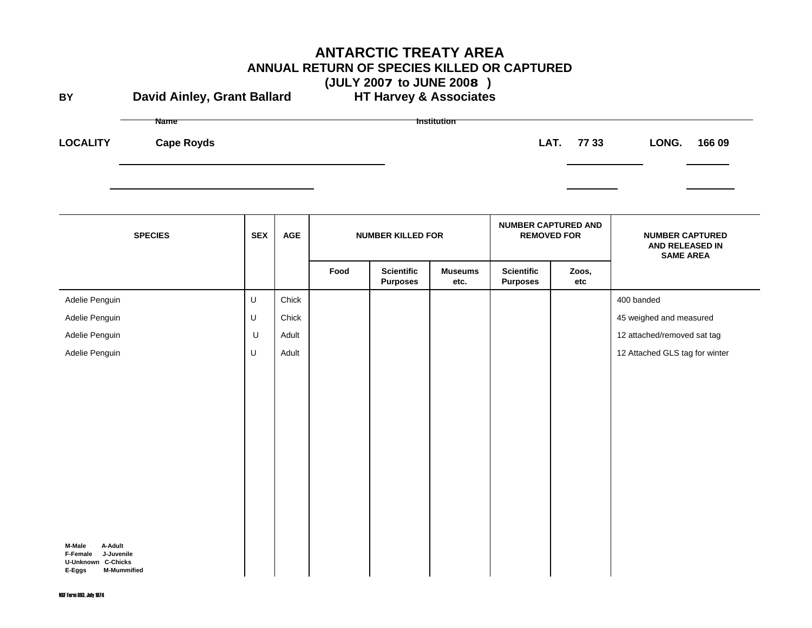# **ANTARCTIC TREATY AREA ANNUAL RETURN OF SPECIES KILLED OR CAPTURED (JULY 2007 to JUNE 2008 )**

**BYDavid Ainley, Grant Ballard** 

**LOCALITY**

**Name Institution Cape Royds LAT. 77 33 LONG. 166 09**

| <b>SPECIES</b>                                                                                           | <b>SEX</b> | <b>AGE</b> | <b>NUMBER KILLED FOR</b> |                                      | <b>NUMBER CAPTURED AND</b><br><b>REMOVED FOR</b> |                                      | <b>NUMBER CAPTURED</b><br>AND RELEASED IN<br><b>SAME AREA</b> |                                |
|----------------------------------------------------------------------------------------------------------|------------|------------|--------------------------|--------------------------------------|--------------------------------------------------|--------------------------------------|---------------------------------------------------------------|--------------------------------|
|                                                                                                          |            |            | Food                     | <b>Scientific</b><br><b>Purposes</b> | <b>Museums</b><br>etc.                           | <b>Scientific</b><br><b>Purposes</b> | Zoos,<br>etc                                                  |                                |
| Adelie Penguin                                                                                           | U          | Chick      |                          |                                      |                                                  |                                      |                                                               | 400 banded                     |
| Adelie Penguin                                                                                           | $\sf U$    | Chick      |                          |                                      |                                                  |                                      |                                                               | 45 weighed and measured        |
| Adelie Penguin                                                                                           | U          | Adult      |                          |                                      |                                                  |                                      |                                                               | 12 attached/removed sat tag    |
| Adelie Penguin                                                                                           | $\sf U$    | Adult      |                          |                                      |                                                  |                                      |                                                               | 12 Attached GLS tag for winter |
|                                                                                                          |            |            |                          |                                      |                                                  |                                      |                                                               |                                |
|                                                                                                          |            |            |                          |                                      |                                                  |                                      |                                                               |                                |
|                                                                                                          |            |            |                          |                                      |                                                  |                                      |                                                               |                                |
|                                                                                                          |            |            |                          |                                      |                                                  |                                      |                                                               |                                |
|                                                                                                          |            |            |                          |                                      |                                                  |                                      |                                                               |                                |
|                                                                                                          |            |            |                          |                                      |                                                  |                                      |                                                               |                                |
|                                                                                                          |            |            |                          |                                      |                                                  |                                      |                                                               |                                |
|                                                                                                          |            |            |                          |                                      |                                                  |                                      |                                                               |                                |
|                                                                                                          |            |            |                          |                                      |                                                  |                                      |                                                               |                                |
| A-Adult<br>M-Male<br>J-Juvenile<br>F-Female<br><b>U-Unknown C-Chicks</b><br><b>M-Mummified</b><br>E-Eggs |            |            |                          |                                      |                                                  |                                      |                                                               |                                |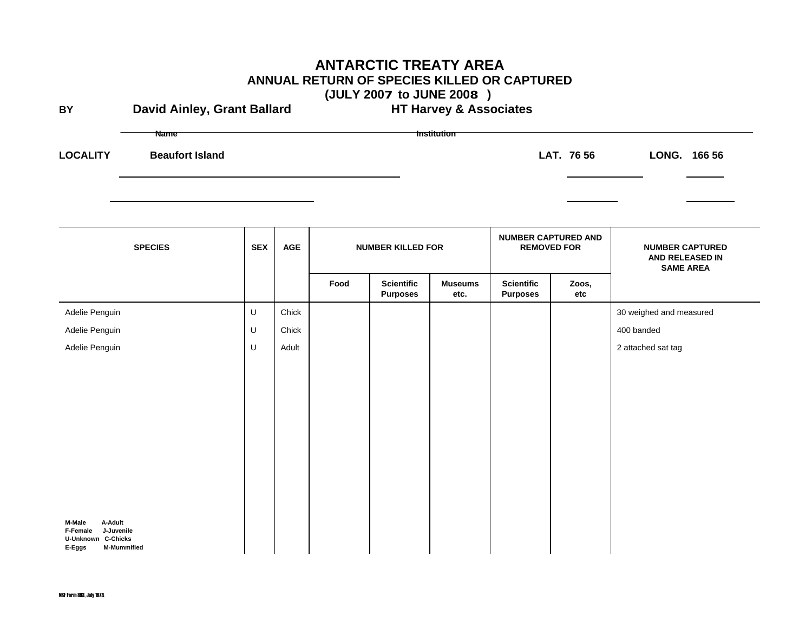| <b>ANTARCTIC TREATY AREA</b><br>ANNUAL RETURN OF SPECIES KILLED OR CAPTURED<br>(JULY 2007 to JUNE 2008) |                                       |            |                |                                   |                                      |                        |                                                  |              |                                           |  |  |
|---------------------------------------------------------------------------------------------------------|---------------------------------------|------------|----------------|-----------------------------------|--------------------------------------|------------------------|--------------------------------------------------|--------------|-------------------------------------------|--|--|
| BY                                                                                                      | <b>David Ainley, Grant Ballard</b>    |            |                | <b>HT Harvey &amp; Associates</b> |                                      |                        |                                                  |              |                                           |  |  |
| <b>LOCALITY</b>                                                                                         | <b>Name</b><br><b>Beaufort Island</b> |            |                |                                   |                                      | <b>Institution</b>     |                                                  | LAT. 76 56   | LONG. 166 56                              |  |  |
|                                                                                                         | <b>SPECIES</b>                        | <b>SEX</b> | $\mathsf{AGE}$ |                                   | <b>NUMBER KILLED FOR</b>             |                        | <b>NUMBER CAPTURED AND</b><br><b>REMOVED FOR</b> |              | <b>NUMBER CAPTURED</b><br>AND RELEASED IN |  |  |
|                                                                                                         |                                       |            |                | Food                              | <b>Scientific</b><br><b>Purposes</b> | <b>Museums</b><br>etc. | <b>Scientific</b><br><b>Purposes</b>             | Zoos,<br>etc | <b>SAME AREA</b>                          |  |  |
| Adelie Penguin                                                                                          |                                       | $\sf U$    | Chick          |                                   |                                      |                        |                                                  |              | 30 weighed and measured                   |  |  |
| Adelie Penguin                                                                                          |                                       | U          | Chick          |                                   |                                      |                        |                                                  |              | 400 banded                                |  |  |
| Adelie Penguin<br>M-Male<br>A-Adult                                                                     |                                       | U          | Adult          |                                   |                                      |                        |                                                  |              | 2 attached sat tag                        |  |  |
| F-Female<br>J-Juvenile<br><b>U-Unknown C-Chicks</b><br>E-Eggs<br><b>M-Mummified</b>                     |                                       |            |                |                                   |                                      |                        |                                                  |              |                                           |  |  |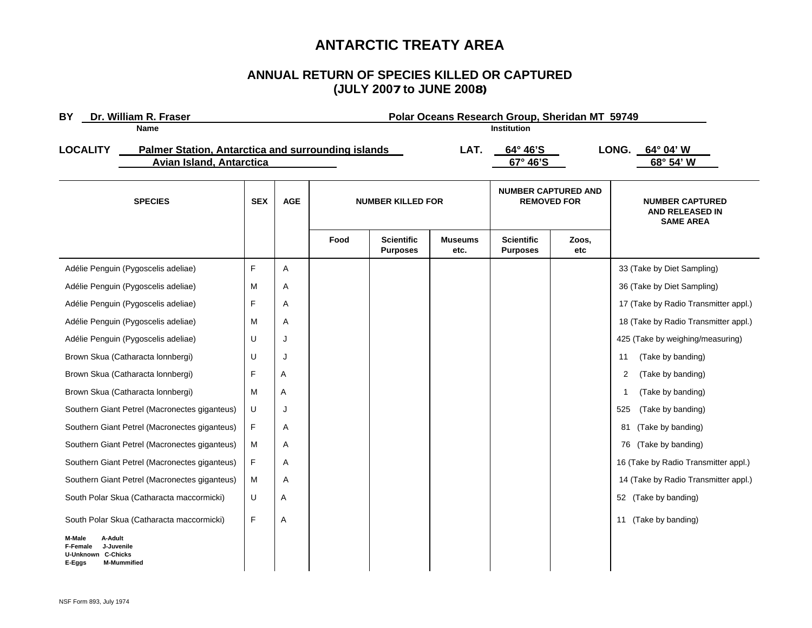# **ANTARCTIC TREATY AREA**

#### **ANNUAL RETURN OF SPECIES KILLED OR CAPTURED (JULY 2007 to JUNE 2008)**

| Dr. William R. Fraser<br>BY                                                                  |                                                           |                                 | Polar Oceans Research Group, Sheridan MT 59749 |      |                                      |                        |                                                  |              |                                                               |  |  |
|----------------------------------------------------------------------------------------------|-----------------------------------------------------------|---------------------------------|------------------------------------------------|------|--------------------------------------|------------------------|--------------------------------------------------|--------------|---------------------------------------------------------------|--|--|
| Name                                                                                         |                                                           |                                 | <b>Institution</b>                             |      |                                      |                        |                                                  |              |                                                               |  |  |
| <b>LOCALITY</b>                                                                              | <b>Palmer Station, Antarctica and surrounding islands</b> |                                 |                                                |      |                                      | LAT.                   | 64° 46'S                                         |              | LONG.<br>64° 04' W                                            |  |  |
|                                                                                              |                                                           | <b>Avian Island, Antarctica</b> |                                                |      |                                      |                        |                                                  |              | 68° 54' W                                                     |  |  |
| <b>SPECIES</b>                                                                               |                                                           | <b>SEX</b>                      | <b>AGE</b>                                     |      | <b>NUMBER KILLED FOR</b>             |                        | <b>NUMBER CAPTURED AND</b><br><b>REMOVED FOR</b> |              | <b>NUMBER CAPTURED</b><br>AND RELEASED IN<br><b>SAME AREA</b> |  |  |
|                                                                                              |                                                           |                                 |                                                | Food | <b>Scientific</b><br><b>Purposes</b> | <b>Museums</b><br>etc. | <b>Scientific</b><br><b>Purposes</b>             | Zoos,<br>etc |                                                               |  |  |
|                                                                                              | Adélie Penguin (Pygoscelis adeliae)                       | F                               | Α                                              |      |                                      |                        |                                                  |              | 33 (Take by Diet Sampling)                                    |  |  |
|                                                                                              | Adélie Penguin (Pygoscelis adeliae)                       | M                               | Α                                              |      |                                      |                        |                                                  |              | 36 (Take by Diet Sampling)                                    |  |  |
|                                                                                              | Adélie Penguin (Pygoscelis adeliae)                       | F                               | Α                                              |      |                                      |                        |                                                  |              | 17 (Take by Radio Transmitter appl.)                          |  |  |
|                                                                                              | Adélie Penguin (Pygoscelis adeliae)                       | M                               | Α                                              |      |                                      |                        |                                                  |              | 18 (Take by Radio Transmitter appl.)                          |  |  |
|                                                                                              | Adélie Penguin (Pygoscelis adeliae)                       | U                               | J                                              |      |                                      |                        |                                                  |              | 425 (Take by weighing/measuring)                              |  |  |
|                                                                                              | Brown Skua (Catharacta lonnbergi)                         | U                               | J                                              |      |                                      |                        |                                                  |              | (Take by banding)<br>11                                       |  |  |
|                                                                                              | Brown Skua (Catharacta lonnbergi)                         | F                               | Α                                              |      |                                      |                        |                                                  |              | $\overline{2}$<br>(Take by banding)                           |  |  |
|                                                                                              | Brown Skua (Catharacta lonnbergi)                         | M                               | Α                                              |      |                                      |                        |                                                  |              | (Take by banding)<br>-1                                       |  |  |
|                                                                                              | Southern Giant Petrel (Macronectes giganteus)             | U                               | J                                              |      |                                      |                        |                                                  |              | 525<br>(Take by banding)                                      |  |  |
|                                                                                              | Southern Giant Petrel (Macronectes giganteus)             | F                               | Α                                              |      |                                      |                        |                                                  |              | 81<br>(Take by banding)                                       |  |  |
|                                                                                              | Southern Giant Petrel (Macronectes giganteus)             | M                               | Α                                              |      |                                      |                        |                                                  |              | (Take by banding)<br>76                                       |  |  |
|                                                                                              | Southern Giant Petrel (Macronectes giganteus)             | F                               | Α                                              |      |                                      |                        |                                                  |              | 16 (Take by Radio Transmitter appl.)                          |  |  |
|                                                                                              | Southern Giant Petrel (Macronectes giganteus)             | м                               | Α                                              |      |                                      |                        |                                                  |              | 14 (Take by Radio Transmitter appl.)                          |  |  |
|                                                                                              | South Polar Skua (Catharacta maccormicki)                 | U                               | Α                                              |      |                                      |                        |                                                  |              | 52 (Take by banding)                                          |  |  |
|                                                                                              | South Polar Skua (Catharacta maccormicki)                 | F                               | Α                                              |      |                                      |                        |                                                  |              | 11 (Take by banding)                                          |  |  |
| M-Male<br>A-Adult<br>J-Juvenile<br>F-Female<br><b>C-Chicks</b><br><b>U-Unknown</b><br>E-Eggs | <b>M-Mummified</b>                                        |                                 |                                                |      |                                      |                        |                                                  |              |                                                               |  |  |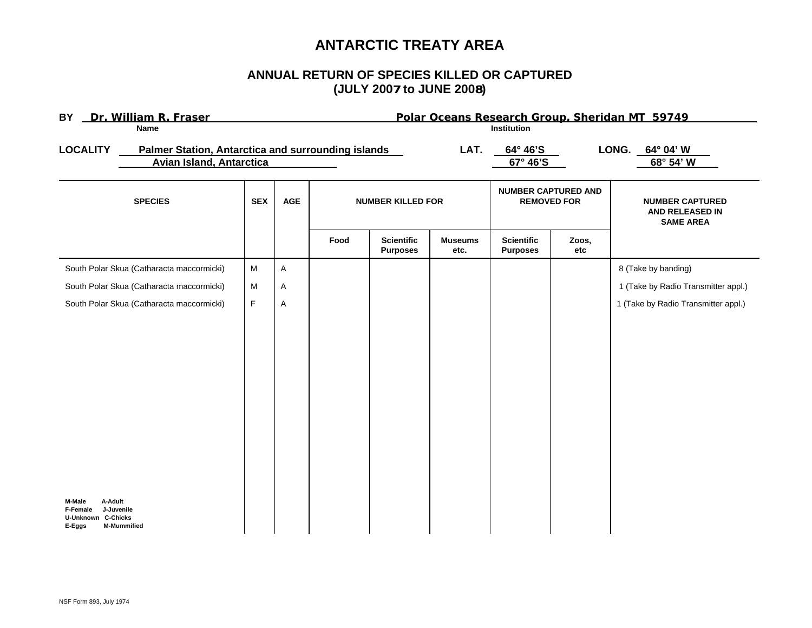# **ANTARCTIC TREATY AREA**

## **ANNUAL RETURN OF SPECIES KILLED OR CAPTURED(JULY 2007 to JUNE 2008)**

| BY Dr. William R. Fraser                                                                                 |                                                                                |             |             | Polar Oceans Research Group, Sheridan MT 59749 |                                      |                        |                                                  |                              |                                                               |  |
|----------------------------------------------------------------------------------------------------------|--------------------------------------------------------------------------------|-------------|-------------|------------------------------------------------|--------------------------------------|------------------------|--------------------------------------------------|------------------------------|---------------------------------------------------------------|--|
|                                                                                                          | <b>Name</b>                                                                    |             | Institution |                                                |                                      |                        |                                                  |                              |                                                               |  |
| <b>LOCALITY</b>                                                                                          | Palmer Station, Antarctica and surrounding islands<br>Avian Island, Antarctica |             | LAT.        |                                                |                                      | 64° 46'S<br>67° 46'S   |                                                  | LONG. 64° 04' W<br>68° 54' W |                                                               |  |
| <b>SPECIES</b>                                                                                           |                                                                                | <b>SEX</b>  | <b>AGE</b>  | <b>NUMBER KILLED FOR</b>                       |                                      |                        | <b>NUMBER CAPTURED AND</b><br><b>REMOVED FOR</b> |                              | <b>NUMBER CAPTURED</b><br>AND RELEASED IN<br><b>SAME AREA</b> |  |
|                                                                                                          |                                                                                |             |             | Food                                           | <b>Scientific</b><br><b>Purposes</b> | <b>Museums</b><br>etc. | <b>Scientific</b><br><b>Purposes</b>             | Zoos,<br>etc                 |                                                               |  |
|                                                                                                          | South Polar Skua (Catharacta maccormicki)                                      | M           | A           |                                                |                                      |                        |                                                  |                              | 8 (Take by banding)                                           |  |
|                                                                                                          | South Polar Skua (Catharacta maccormicki)                                      | M           | Α           |                                                |                                      |                        |                                                  |                              | 1 (Take by Radio Transmitter appl.)                           |  |
|                                                                                                          | South Polar Skua (Catharacta maccormicki)                                      | $\mathsf F$ | A           |                                                |                                      |                        |                                                  |                              | 1 (Take by Radio Transmitter appl.)                           |  |
| M-Male<br>A-Adult<br><b>F-Female</b><br>J-Juvenile<br>U-Unknown C-Chicks<br>E-Eggs<br><b>M-Mummified</b> |                                                                                |             |             |                                                |                                      |                        |                                                  |                              |                                                               |  |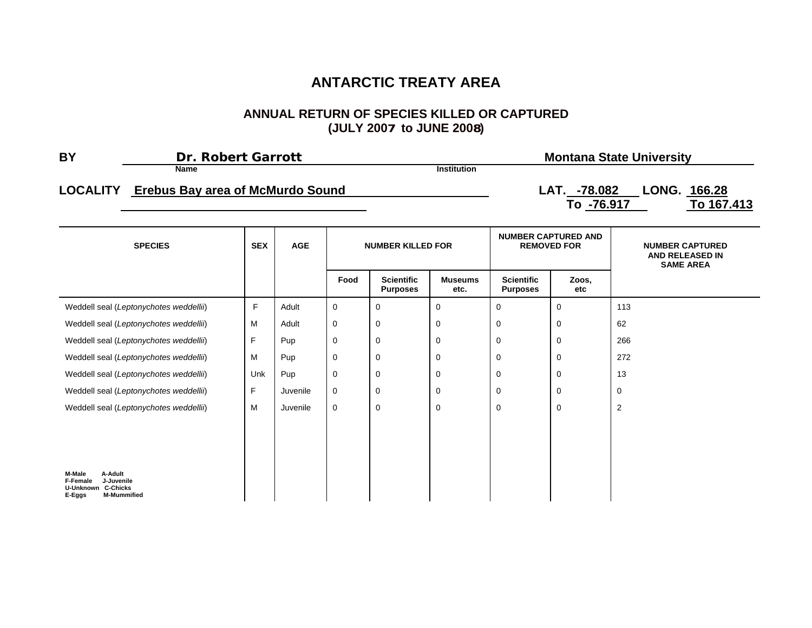# **ANTARCTIC TREATY AREA**

#### **ANNUAL RETURN OF SPECIES KILLED OR CAPTURED (JULY 2007 to JUNE 2008)**

| <b>BY</b> | <b>Dr. Robert Garrott</b>                        |                    | <b>Montana State University</b>                          |
|-----------|--------------------------------------------------|--------------------|----------------------------------------------------------|
|           | Name                                             | <b>Institution</b> |                                                          |
|           | <b>LOCALITY</b> Erebus Bay area of McMurdo Sound |                    | LONG. 166.28<br>LAT. -78.082<br>To 167,413<br>To -76.917 |
|           |                                                  |                    |                                                          |

| <b>SPECIES</b>                                                                                                  | <b>SEX</b> | <b>AGE</b> | <b>NUMBER KILLED FOR</b> |                                      |                        |                                      | <b>NUMBER CAPTURED AND</b><br><b>REMOVED FOR</b> | <b>NUMBER CAPTURED</b><br>AND RELEASED IN<br><b>SAME AREA</b> |
|-----------------------------------------------------------------------------------------------------------------|------------|------------|--------------------------|--------------------------------------|------------------------|--------------------------------------|--------------------------------------------------|---------------------------------------------------------------|
|                                                                                                                 |            |            | Food                     | <b>Scientific</b><br><b>Purposes</b> | <b>Museums</b><br>etc. | <b>Scientific</b><br><b>Purposes</b> | Zoos,<br>etc                                     |                                                               |
| Weddell seal (Leptonychotes weddellii)                                                                          | F          | Adult      | $\mathbf 0$              | 0                                    | 0                      | 0                                    | 0                                                | 113                                                           |
| Weddell seal (Leptonychotes weddellii)                                                                          | м          | Adult      | $\mathbf 0$              | 0                                    | 0                      | $\mathbf 0$                          | 0                                                | 62                                                            |
| Weddell seal (Leptonychotes weddellii)                                                                          | F          | Pup        | $\mathbf 0$              | 0                                    | 0                      | 0                                    | 0                                                | 266                                                           |
| Weddell seal (Leptonychotes weddellii)                                                                          | м          | Pup        | $\mathbf 0$              | 0                                    | 0                      | 0                                    | 0                                                | 272                                                           |
| Weddell seal (Leptonychotes weddellii)                                                                          | Unk        | Pup        | $\mathbf 0$              | 0                                    | 0                      | $\mathbf 0$                          | 0                                                | 13                                                            |
| Weddell seal (Leptonychotes weddellii)                                                                          | F          | Juvenile   | $\mathbf 0$              | 0                                    | 0                      | $\mathbf 0$                          | 0                                                | 0                                                             |
| Weddell seal (Leptonychotes weddellii)                                                                          | м          | Juvenile   | $\mathbf 0$              | 0                                    | 0                      | 0                                    | 0                                                | $\overline{c}$                                                |
|                                                                                                                 |            |            |                          |                                      |                        |                                      |                                                  |                                                               |
|                                                                                                                 |            |            |                          |                                      |                        |                                      |                                                  |                                                               |
| A-Adult<br>M-Male<br>J-Juvenile<br><b>F-Female</b><br><b>U-Unknown C-Chicks</b><br><b>M-Mummified</b><br>E-Eggs |            |            |                          |                                      |                        |                                      |                                                  |                                                               |